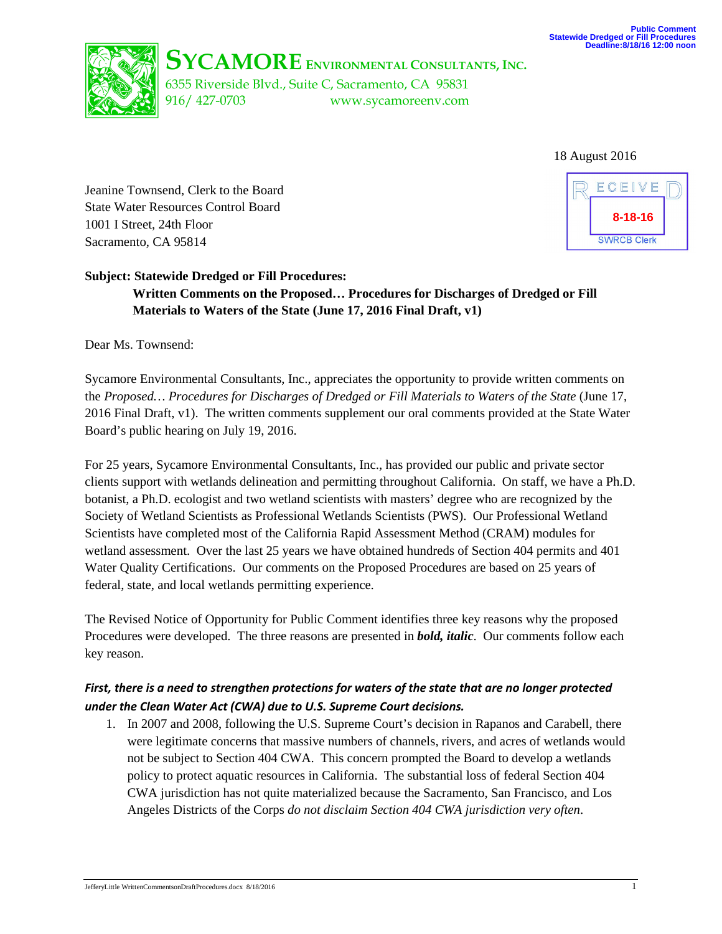

**SYCAMORE ENVIRONMENTAL CONSULTANTS, INC.**

6355 Riverside Blvd., Suite C, Sacramento, CA 95831 916/ 427-0703 www.sycamoreenv.com

18 August 2016

Jeanine Townsend, Clerk to the Board State Water Resources Control Board 1001 I Street, 24th Floor Sacramento, CA 95814



### **Subject: Statewide Dredged or Fill Procedures:**

**Written Comments on the Proposed… Procedures for Discharges of Dredged or Fill Materials to Waters of the State (June 17, 2016 Final Draft, v1)**

Dear Ms. Townsend:

Sycamore Environmental Consultants, Inc., appreciates the opportunity to provide written comments on the *Proposed… Procedures for Discharges of Dredged or Fill Materials to Waters of the State* (June 17, 2016 Final Draft, v1). The written comments supplement our oral comments provided at the State Water Board's public hearing on July 19, 2016.

For 25 years, Sycamore Environmental Consultants, Inc., has provided our public and private sector clients support with wetlands delineation and permitting throughout California. On staff, we have a Ph.D. botanist, a Ph.D. ecologist and two wetland scientists with masters' degree who are recognized by the Society of Wetland Scientists as Professional Wetlands Scientists (PWS). Our Professional Wetland Scientists have completed most of the California Rapid Assessment Method (CRAM) modules for wetland assessment. Over the last 25 years we have obtained hundreds of Section 404 permits and 401 Water Quality Certifications. Our comments on the Proposed Procedures are based on 25 years of federal, state, and local wetlands permitting experience.

The Revised Notice of Opportunity for Public Comment identifies three key reasons why the proposed Procedures were developed. The three reasons are presented in *bold, italic*. Our comments follow each key reason.

### *First, there is a need to strengthen protections for waters of the state that are no longer protected under the Clean Water Act (CWA) due to U.S. Supreme Court decisions.*

1. In 2007 and 2008, following the U.S. Supreme Court's decision in Rapanos and Carabell, there were legitimate concerns that massive numbers of channels, rivers, and acres of wetlands would not be subject to Section 404 CWA. This concern prompted the Board to develop a wetlands policy to protect aquatic resources in California. The substantial loss of federal Section 404 CWA jurisdiction has not quite materialized because the Sacramento, San Francisco, and Los Angeles Districts of the Corps *do not disclaim Section 404 CWA jurisdiction very often*.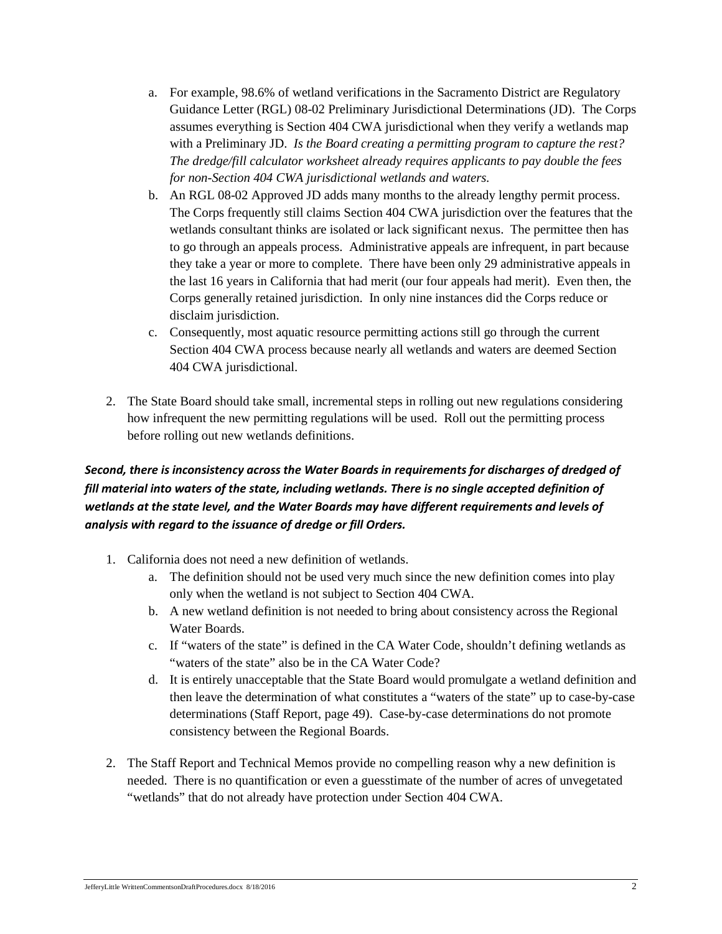- a. For example, 98.6% of wetland verifications in the Sacramento District are Regulatory Guidance Letter (RGL) 08-02 Preliminary Jurisdictional Determinations (JD). The Corps assumes everything is Section 404 CWA jurisdictional when they verify a wetlands map with a Preliminary JD. *Is the Board creating a permitting program to capture the rest? The dredge/fill calculator worksheet already requires applicants to pay double the fees for non-Section 404 CWA jurisdictional wetlands and waters.*
- b. An RGL 08-02 Approved JD adds many months to the already lengthy permit process. The Corps frequently still claims Section 404 CWA jurisdiction over the features that the wetlands consultant thinks are isolated or lack significant nexus. The permittee then has to go through an appeals process. Administrative appeals are infrequent, in part because they take a year or more to complete. There have been only 29 administrative appeals in the last 16 years in California that had merit (our four appeals had merit). Even then, the Corps generally retained jurisdiction. In only nine instances did the Corps reduce or disclaim jurisdiction.
- c. Consequently, most aquatic resource permitting actions still go through the current Section 404 CWA process because nearly all wetlands and waters are deemed Section 404 CWA jurisdictional.
- 2. The State Board should take small, incremental steps in rolling out new regulations considering how infrequent the new permitting regulations will be used. Roll out the permitting process before rolling out new wetlands definitions.

# *Second, there is inconsistency across the Water Boards in requirements for discharges of dredged of fill material into waters of the state, including wetlands. There is no single accepted definition of wetlands at the state level, and the Water Boards may have different requirements and levels of analysis with regard to the issuance of dredge or fill Orders.*

- 1. California does not need a new definition of wetlands.
	- a. The definition should not be used very much since the new definition comes into play only when the wetland is not subject to Section 404 CWA.
	- b. A new wetland definition is not needed to bring about consistency across the Regional Water Boards.
	- c. If "waters of the state" is defined in the CA Water Code, shouldn't defining wetlands as "waters of the state" also be in the CA Water Code?
	- d. It is entirely unacceptable that the State Board would promulgate a wetland definition and then leave the determination of what constitutes a "waters of the state" up to case-by-case determinations (Staff Report, page 49). Case-by-case determinations do not promote consistency between the Regional Boards.
- 2. The Staff Report and Technical Memos provide no compelling reason why a new definition is needed. There is no quantification or even a guesstimate of the number of acres of unvegetated "wetlands" that do not already have protection under Section 404 CWA.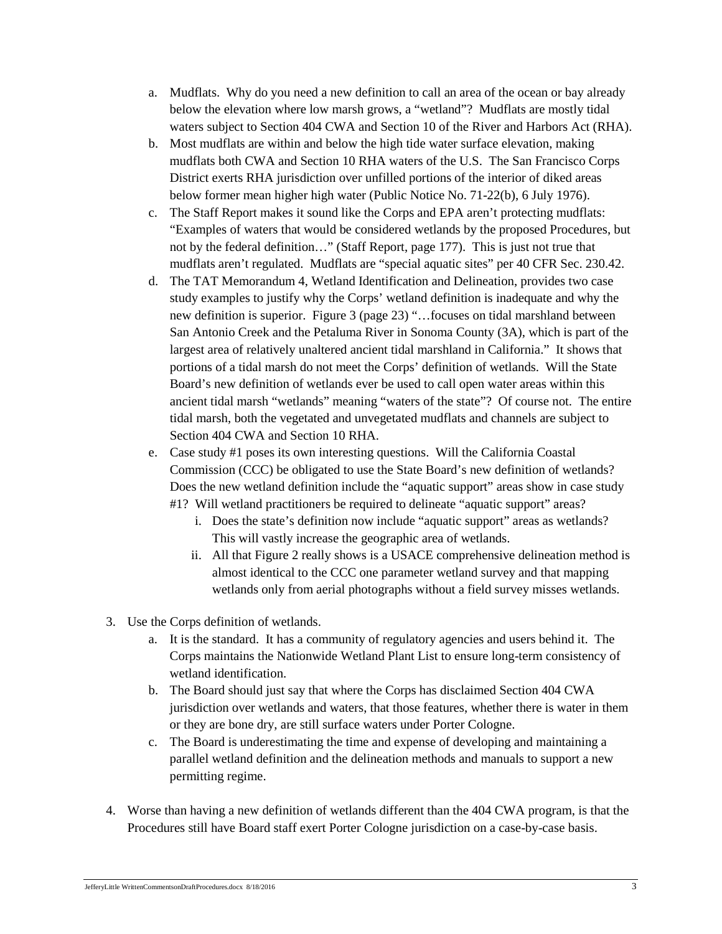- a. Mudflats. Why do you need a new definition to call an area of the ocean or bay already below the elevation where low marsh grows, a "wetland"? Mudflats are mostly tidal waters subject to Section 404 CWA and Section 10 of the River and Harbors Act (RHA).
- b. Most mudflats are within and below the high tide water surface elevation, making mudflats both CWA and Section 10 RHA waters of the U.S. The San Francisco Corps District exerts RHA jurisdiction over unfilled portions of the interior of diked areas below former mean higher high water (Public Notice No. 71-22(b), 6 July 1976).
- c. The Staff Report makes it sound like the Corps and EPA aren't protecting mudflats: "Examples of waters that would be considered wetlands by the proposed Procedures, but not by the federal definition…" (Staff Report, page 177). This is just not true that mudflats aren't regulated. Mudflats are "special aquatic sites" per 40 CFR Sec. 230.42.
- d. The TAT Memorandum 4, Wetland Identification and Delineation, provides two case study examples to justify why the Corps' wetland definition is inadequate and why the new definition is superior. Figure 3 (page 23) "…focuses on tidal marshland between San Antonio Creek and the Petaluma River in Sonoma County (3A), which is part of the largest area of relatively unaltered ancient tidal marshland in California." It shows that portions of a tidal marsh do not meet the Corps' definition of wetlands. Will the State Board's new definition of wetlands ever be used to call open water areas within this ancient tidal marsh "wetlands" meaning "waters of the state"? Of course not. The entire tidal marsh, both the vegetated and unvegetated mudflats and channels are subject to Section 404 CWA and Section 10 RHA.
- e. Case study #1 poses its own interesting questions. Will the California Coastal Commission (CCC) be obligated to use the State Board's new definition of wetlands? Does the new wetland definition include the "aquatic support" areas show in case study #1? Will wetland practitioners be required to delineate "aquatic support" areas?
	- i. Does the state's definition now include "aquatic support" areas as wetlands? This will vastly increase the geographic area of wetlands.
	- ii. All that Figure 2 really shows is a USACE comprehensive delineation method is almost identical to the CCC one parameter wetland survey and that mapping wetlands only from aerial photographs without a field survey misses wetlands.
- 3. Use the Corps definition of wetlands.
	- a. It is the standard. It has a community of regulatory agencies and users behind it. The Corps maintains the Nationwide Wetland Plant List to ensure long-term consistency of wetland identification.
	- b. The Board should just say that where the Corps has disclaimed Section 404 CWA jurisdiction over wetlands and waters, that those features, whether there is water in them or they are bone dry, are still surface waters under Porter Cologne.
	- c. The Board is underestimating the time and expense of developing and maintaining a parallel wetland definition and the delineation methods and manuals to support a new permitting regime.
- 4. Worse than having a new definition of wetlands different than the 404 CWA program, is that the Procedures still have Board staff exert Porter Cologne jurisdiction on a case-by-case basis.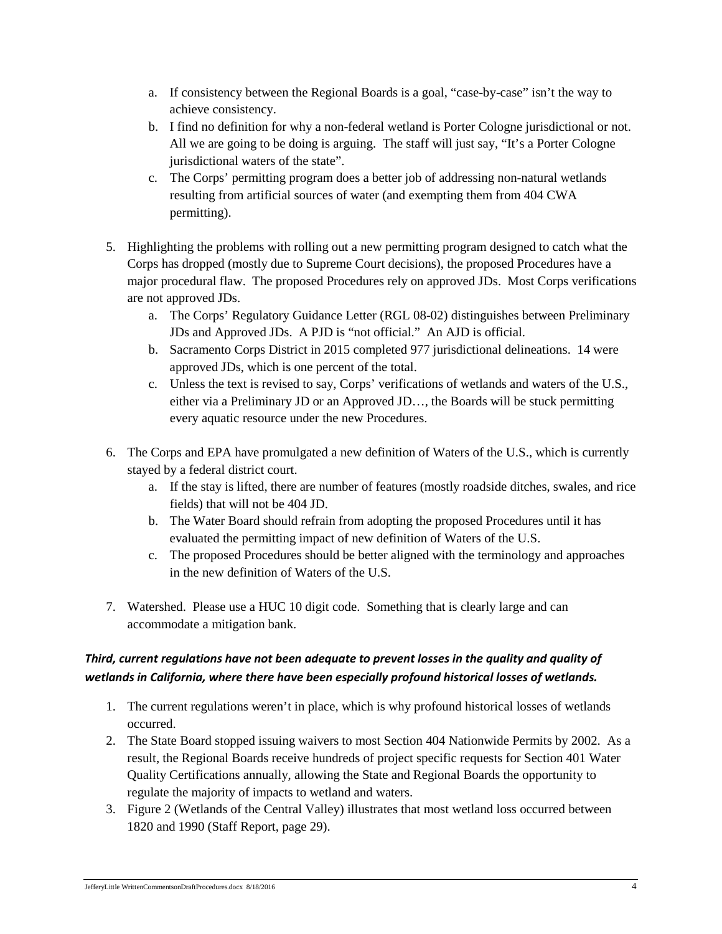- a. If consistency between the Regional Boards is a goal, "case-by-case" isn't the way to achieve consistency.
- b. I find no definition for why a non-federal wetland is Porter Cologne jurisdictional or not. All we are going to be doing is arguing. The staff will just say, "It's a Porter Cologne jurisdictional waters of the state".
- c. The Corps' permitting program does a better job of addressing non-natural wetlands resulting from artificial sources of water (and exempting them from 404 CWA permitting).
- 5. Highlighting the problems with rolling out a new permitting program designed to catch what the Corps has dropped (mostly due to Supreme Court decisions), the proposed Procedures have a major procedural flaw. The proposed Procedures rely on approved JDs. Most Corps verifications are not approved JDs.
	- a. The Corps' Regulatory Guidance Letter (RGL 08-02) distinguishes between Preliminary JDs and Approved JDs. A PJD is "not official." An AJD is official.
	- b. Sacramento Corps District in 2015 completed 977 jurisdictional delineations. 14 were approved JDs, which is one percent of the total.
	- c. Unless the text is revised to say, Corps' verifications of wetlands and waters of the U.S., either via a Preliminary JD or an Approved JD…, the Boards will be stuck permitting every aquatic resource under the new Procedures.
- 6. The Corps and EPA have promulgated a new definition of Waters of the U.S., which is currently stayed by a federal district court.
	- a. If the stay is lifted, there are number of features (mostly roadside ditches, swales, and rice fields) that will not be 404 JD.
	- b. The Water Board should refrain from adopting the proposed Procedures until it has evaluated the permitting impact of new definition of Waters of the U.S.
	- c. The proposed Procedures should be better aligned with the terminology and approaches in the new definition of Waters of the U.S.
- 7. Watershed. Please use a HUC 10 digit code. Something that is clearly large and can accommodate a mitigation bank.

## *Third, current regulations have not been adequate to prevent losses in the quality and quality of wetlands in California, where there have been especially profound historical losses of wetlands.*

- 1. The current regulations weren't in place, which is why profound historical losses of wetlands occurred.
- 2. The State Board stopped issuing waivers to most Section 404 Nationwide Permits by 2002. As a result, the Regional Boards receive hundreds of project specific requests for Section 401 Water Quality Certifications annually, allowing the State and Regional Boards the opportunity to regulate the majority of impacts to wetland and waters.
- 3. Figure 2 (Wetlands of the Central Valley) illustrates that most wetland loss occurred between 1820 and 1990 (Staff Report, page 29).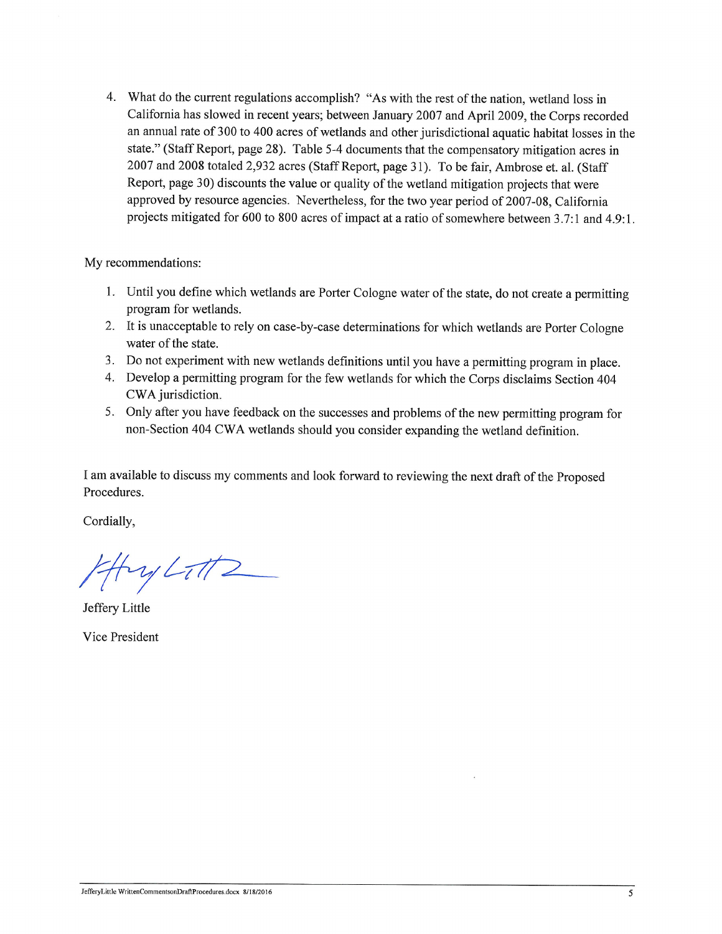4. What do the current regulations accomplish? "As with the rest of the nation, wetland loss in California has slowed in recent years; between January 2007 and April 2009, the Corps recorded an annual rate of 300 to 400 acres of wetlands and other jurisdictional aquatic habitat losses in the state." (Staff Report, page 28). Table 5-4 documents that the compensatory mitigation acres in 2007 and 2008 totaled 2,932 acres (Staff Report, page 31). To be fair, Ambrose et. al. (Staff Report, page 30) discounts the value or quality of the wetland mitigation projects that were approved by resource agencies. Nevertheless, for the two year period of 2007-08, California projects mitigated for 600 to 800 acres of impact at a ratio of somewhere between 3.7:1 and 4.9:1.

My recommendations:

- 1. Until you define which wetlands are Porter Cologne water of the state, do not create a permitting program for wetlands.
- 2. It is unacceptable to rely on case-by-case determinations for which wetlands are Porter Cologne water of the state.
- 3. Do not experiment with new wetlands definitions until you have a permitting program in place.
- 4. Develop a permitting program for the few wetlands for which the Corps disclaims Section 404 CWA jurisdiction.
- 5. Only after you have feedback on the successes and problems of the new permitting program for non-Section 404 CWA wetlands should you consider expanding the wetland definition.

I am available to discuss my comments and look forward to reviewing the next draft of the Proposed Procedures.

Cordially,

4 Ay Litt2

Jeffery Little

Vice President